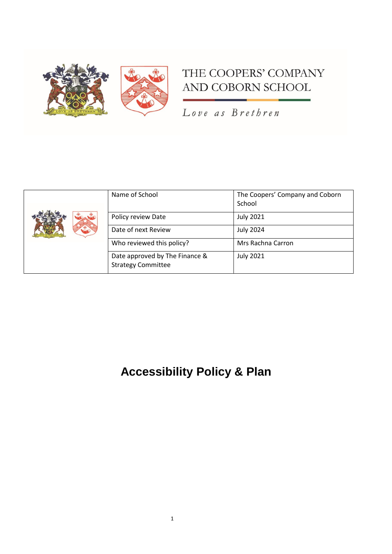

# THE COOPERS' COMPANY AND COBORN SCHOOL

Love as Brethren

| Name of School                                              | The Coopers' Company and Coborn<br>School |
|-------------------------------------------------------------|-------------------------------------------|
| Policy review Date                                          | <b>July 2021</b>                          |
| Date of next Review                                         | <b>July 2024</b>                          |
| Who reviewed this policy?                                   | Mrs Rachna Carron                         |
| Date approved by The Finance &<br><b>Strategy Committee</b> | <b>July 2021</b>                          |

# **Accessibility Policy & Plan**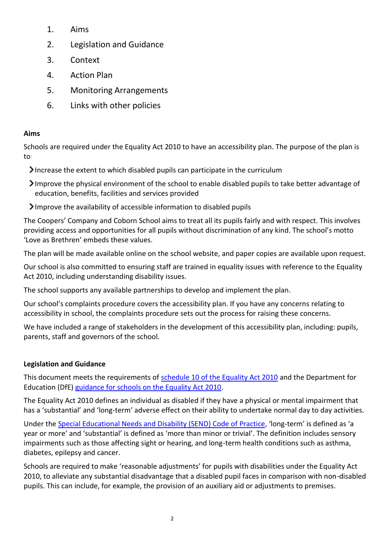- 1. Aims
- 2. Legislation and Guidance
- 3. Context
- 4. Action Plan
- 5. Monitoring Arrangements
- 6. Links with other policies

## **Aims**

Schools are required under the Equality Act 2010 to have an accessibility plan. The purpose of the plan is to:

Increase the extent to which disabled pupils can participate in the curriculum

- Improve the physical environment of the school to enable disabled pupils to take better advantage of education, benefits, facilities and services provided
- Improve the availability of accessible information to disabled pupils

The Coopers' Company and Coborn School aims to treat all its pupils fairly and with respect. This involves providing access and opportunities for all pupils without discrimination of any kind. The school's motto 'Love as Brethren' embeds these values.

The plan will be made available online on the school website, and paper copies are available upon request.

Our school is also committed to ensuring staff are trained in equality issues with reference to the Equality Act 2010, including understanding disability issues.

The school supports any available partnerships to develop and implement the plan.

Our school's complaints procedure covers the accessibility plan. If you have any concerns relating to accessibility in school, the complaints procedure sets out the process for raising these concerns.

We have included a range of stakeholders in the development of this accessibility plan, including: pupils, parents, staff and governors of the school.

# **Legislation and Guidance**

This document meets the requirements of [schedule 10 of the Equality Act 2010](http://www.legislation.gov.uk/ukpga/2010/15/schedule/10) and the Department for Education (DfE) [guidance for schools on the Equality Act 2010.](https://www.gov.uk/government/publications/equality-act-2010-advice-for-schools)

The Equality Act 2010 defines an individual as disabled if they have a physical or mental impairment that has a 'substantial' and 'long-term' adverse effect on their ability to undertake normal day to day activities.

Under the [Special Educational Needs and Disability \(SEND\) Code of Practice](https://www.gov.uk/government/publications/send-code-of-practice-0-to-25), 'long-term' is defined as 'a year or more' and 'substantial' is defined as 'more than minor or trivial'. The definition includes sensory impairments such as those affecting sight or hearing, and long-term health conditions such as asthma, diabetes, epilepsy and cancer.

Schools are required to make 'reasonable adjustments' for pupils with disabilities under the Equality Act 2010, to alleviate any substantial disadvantage that a disabled pupil faces in comparison with non-disabled pupils. This can include, for example, the provision of an auxiliary aid or adjustments to premises.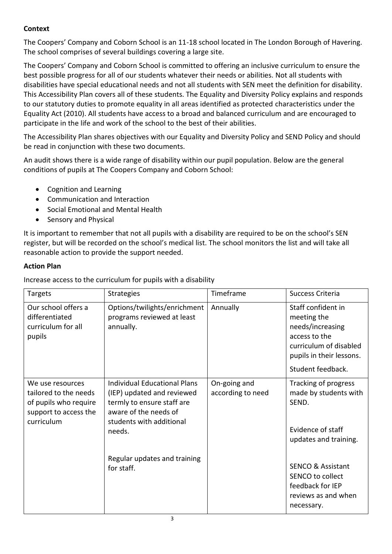## **Context**

The Coopers' Company and Coborn School is an 11-18 school located in The London Borough of Havering. The school comprises of several buildings covering a large site.

The Coopers' Company and Coborn School is committed to offering an inclusive curriculum to ensure the best possible progress for all of our students whatever their needs or abilities. Not all students with disabilities have special educational needs and not all students with SEN meet the definition for disability. This Accessibility Plan covers all of these students. The Equality and Diversity Policy explains and responds to our statutory duties to promote equality in all areas identified as protected characteristics under the Equality Act (2010). All students have access to a broad and balanced curriculum and are encouraged to participate in the life and work of the school to the best of their abilities.

The Accessibility Plan shares objectives with our Equality and Diversity Policy and SEND Policy and should be read in conjunction with these two documents.

An audit shows there is a wide range of disability within our pupil population. Below are the general conditions of pupils at The Coopers Company and Coborn School:

- Cognition and Learning
- Communication and Interaction
- Social Emotional and Mental Health
- Sensory and Physical

It is important to remember that not all pupils with a disability are required to be on the school's SEN register, but will be recorded on the school's medical list. The school monitors the list and will take all reasonable action to provide the support needed.

#### **Action Plan**

Increase access to the curriculum for pupils with a disability

| Targets                                                                                                   | <b>Strategies</b>                                                                                                                                              | Timeframe                         | Success Criteria                                                                                                                                  |
|-----------------------------------------------------------------------------------------------------------|----------------------------------------------------------------------------------------------------------------------------------------------------------------|-----------------------------------|---------------------------------------------------------------------------------------------------------------------------------------------------|
| Our school offers a<br>differentiated<br>curriculum for all<br>pupils                                     | Options/twilights/enrichment<br>programs reviewed at least<br>annually.                                                                                        | Annually                          | Staff confident in<br>meeting the<br>needs/increasing<br>access to the<br>curriculum of disabled<br>pupils in their lessons.<br>Student feedback. |
| We use resources<br>tailored to the needs<br>of pupils who require<br>support to access the<br>curriculum | <b>Individual Educational Plans</b><br>(IEP) updated and reviewed<br>termly to ensure staff are<br>aware of the needs of<br>students with additional<br>needs. | On-going and<br>according to need | Tracking of progress<br>made by students with<br>SEND.<br>Evidence of staff<br>updates and training.                                              |
|                                                                                                           | Regular updates and training<br>for staff.                                                                                                                     |                                   | <b>SENCO &amp; Assistant</b><br>SENCO to collect<br>feedback for IEP<br>reviews as and when<br>necessary.                                         |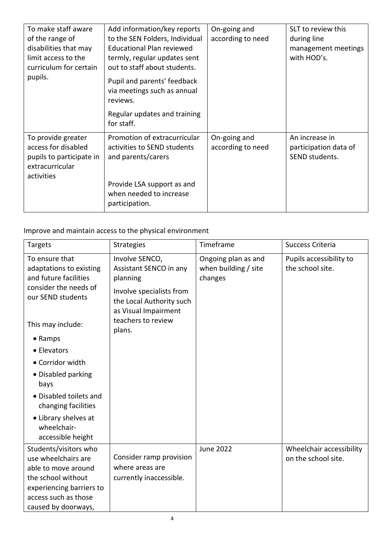| To make staff aware<br>of the range of<br>disabilities that may<br>limit access to the<br>curriculum for certain<br>pupils. | Add information/key reports<br>to the SEN Folders, Individual<br><b>Educational Plan reviewed</b><br>termly, regular updates sent<br>out to staff about students.<br>Pupil and parents' feedback<br>via meetings such as annual<br>reviews.<br>Regular updates and training<br>for staff. | On-going and<br>according to need | SLT to review this<br>during line<br>management meetings<br>with HOD's. |
|-----------------------------------------------------------------------------------------------------------------------------|-------------------------------------------------------------------------------------------------------------------------------------------------------------------------------------------------------------------------------------------------------------------------------------------|-----------------------------------|-------------------------------------------------------------------------|
| To provide greater<br>access for disabled<br>pupils to participate in<br>extracurricular<br>activities                      | Promotion of extracurricular<br>activities to SEND students<br>and parents/carers<br>Provide LSA support as and<br>when needed to increase<br>participation.                                                                                                                              | On-going and<br>according to need | An increase in<br>participation data of<br>SEND students.               |

Improve and maintain access to the physical environment

| <b>Targets</b>                                                                                                                                                                                                                                                                                                                 | <b>Strategies</b>                                                                                                                                                    | Timeframe                                              | Success Criteria                                |
|--------------------------------------------------------------------------------------------------------------------------------------------------------------------------------------------------------------------------------------------------------------------------------------------------------------------------------|----------------------------------------------------------------------------------------------------------------------------------------------------------------------|--------------------------------------------------------|-------------------------------------------------|
| To ensure that<br>adaptations to existing<br>and future facilities<br>consider the needs of<br>our SEND students<br>This may include:<br>• Ramps<br>• Elevators<br>• Corridor width<br>• Disabled parking<br>bays<br>• Disabled toilets and<br>changing facilities<br>• Library shelves at<br>wheelchair-<br>accessible height | Involve SENCO,<br>Assistant SENCO in any<br>planning<br>Involve specialists from<br>the Local Authority such<br>as Visual Impairment<br>teachers to review<br>plans. | Ongoing plan as and<br>when building / site<br>changes | Pupils accessibility to<br>the school site.     |
| Students/visitors who<br>use wheelchairs are<br>able to move around<br>the school without<br>experiencing barriers to<br>access such as those<br>caused by doorways,                                                                                                                                                           | Consider ramp provision<br>where areas are<br>currently inaccessible.                                                                                                | <b>June 2022</b>                                       | Wheelchair accessibility<br>on the school site. |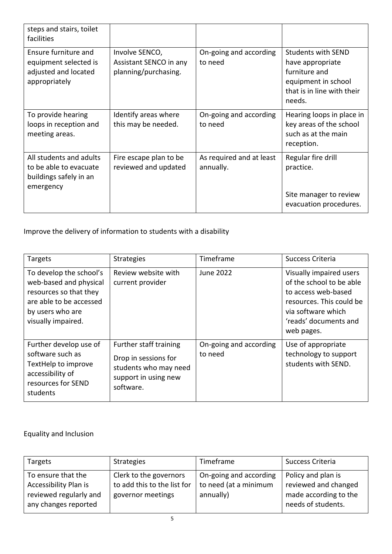| steps and stairs, toilet<br>facilities                                                   |                                                                  |                                       |                                                                                                                               |
|------------------------------------------------------------------------------------------|------------------------------------------------------------------|---------------------------------------|-------------------------------------------------------------------------------------------------------------------------------|
| Ensure furniture and<br>equipment selected is<br>adjusted and located<br>appropriately   | Involve SENCO,<br>Assistant SENCO in any<br>planning/purchasing. | On-going and according<br>to need     | <b>Students with SEND</b><br>have appropriate<br>furniture and<br>equipment in school<br>that is in line with their<br>needs. |
| To provide hearing<br>loops in reception and<br>meeting areas.                           | Identify areas where<br>this may be needed.                      | On-going and according<br>to need     | Hearing loops in place in<br>key areas of the school<br>such as at the main<br>reception.                                     |
| All students and adults<br>to be able to evacuate<br>buildings safely in an<br>emergency | Fire escape plan to be<br>reviewed and updated                   | As required and at least<br>annually. | Regular fire drill<br>practice.<br>Site manager to review<br>evacuation procedures.                                           |

Improve the delivery of information to students with a disability

| <b>Targets</b>                                                                                                                                   | <b>Strategies</b>                                                                                            | Timeframe                         | Success Criteria                                                                                                                                                    |
|--------------------------------------------------------------------------------------------------------------------------------------------------|--------------------------------------------------------------------------------------------------------------|-----------------------------------|---------------------------------------------------------------------------------------------------------------------------------------------------------------------|
| To develop the school's<br>web-based and physical<br>resources so that they<br>are able to be accessed<br>by users who are<br>visually impaired. | Review website with<br>current provider                                                                      | <b>June 2022</b>                  | Visually impaired users<br>of the school to be able<br>to access web-based<br>resources. This could be<br>via software which<br>'reads' documents and<br>web pages. |
| Further develop use of<br>software such as<br>TextHelp to improve<br>accessibility of<br>resources for SEND<br>students                          | Further staff training<br>Drop in sessions for<br>students who may need<br>support in using new<br>software. | On-going and according<br>to need | Use of appropriate<br>technology to support<br>students with SEND.                                                                                                  |

Equality and Inclusion

| Targets                                                                                       | <b>Strategies</b>                                                          | Timeframe                                                    | Success Criteria                                                                          |
|-----------------------------------------------------------------------------------------------|----------------------------------------------------------------------------|--------------------------------------------------------------|-------------------------------------------------------------------------------------------|
| To ensure that the<br>Accessibility Plan is<br>reviewed regularly and<br>any changes reported | Clerk to the governors<br>to add this to the list for<br>governor meetings | On-going and according<br>to need (at a minimum<br>annually) | Policy and plan is<br>reviewed and changed<br>made according to the<br>needs of students. |